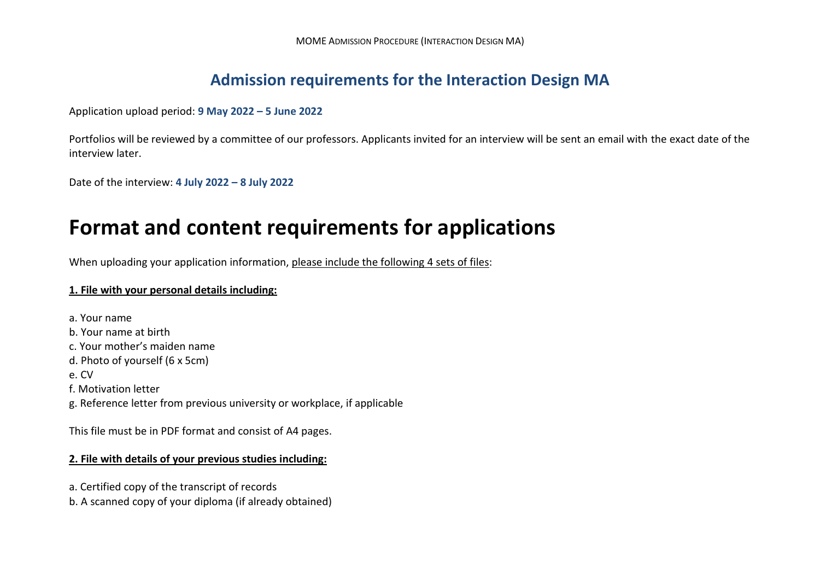# **Admission requirements for the Interaction Design MA**

Application upload period: **9 May 2022 – 5 June 2022**

Portfolios will be reviewed by a committee of our professors. Applicants invited for an interview will be sent an email with the exact date of the interview later.

Date of the interview: **4 July 2022 – 8 July 2022**

# **Format and content requirements for applications**

When uploading your application information, please include the following 4 sets of files:

## **1. File with your personal details including:**

a. Your name b. Your name at birth c. Your mother's maiden name d. Photo of yourself (6 x 5cm) e. CV f. Motivation letter g. Reference letter from previous university or workplace, if applicable

This file must be in PDF format and consist of A4 pages.

### **2. File with details of your previous studies including:**

a. Certified copy of the transcript of records

b. A scanned copy of your diploma (if already obtained)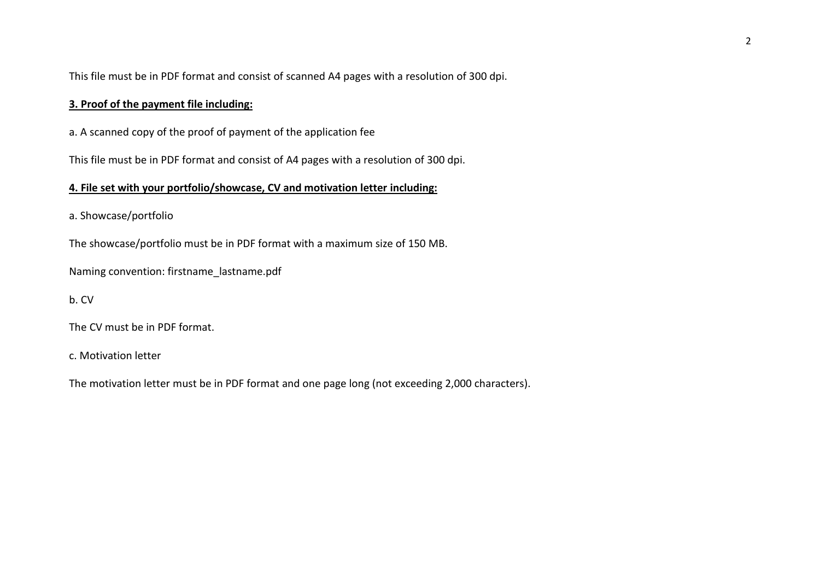This file must be in PDF format and consist of scanned A4 pages with a resolution of 300 dpi.

## **3. Proof of the payment file including:**

a. A scanned copy of the proof of payment of the application fee

This file must be in PDF format and consist of A4 pages with a resolution of 300 dpi.

#### **4. File set with your portfolio/showcase, CV and motivation letter including:**

a. Showcase/portfolio

The showcase/portfolio must be in PDF format with a maximum size of 150 MB.

Naming convention: firstname\_lastname.pdf

b. CV

The CV must be in PDF format.

c. Motivation letter

The motivation letter must be in PDF format and one page long (not exceeding 2,000 characters).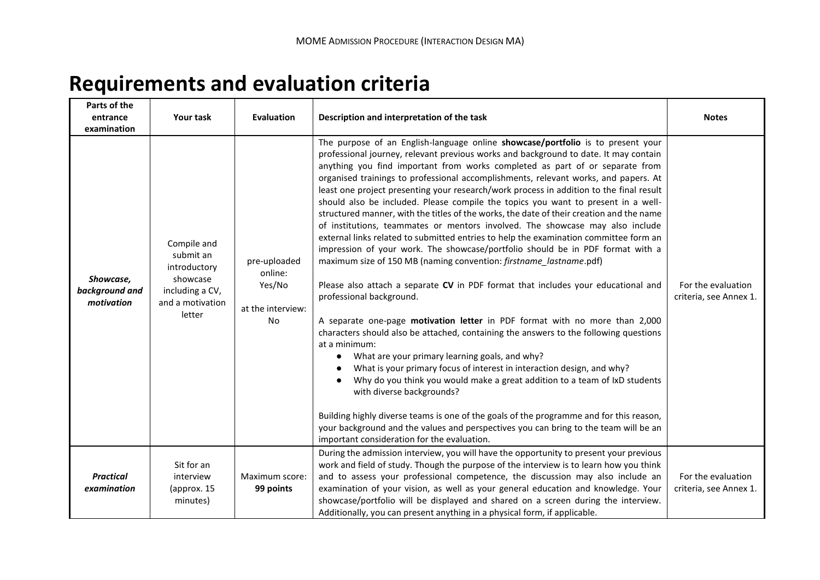# **Requirements and evaluation criteria**

| Parts of the<br>entrance<br>examination   | Your task                                                                                             | Evaluation                                                   | Description and interpretation of the task                                                                                                                                                                                                                                                                                                                                                                                                                                                                                                                                                                                                                                                                                                                                                                                                                                                                                                                                                                                                                                                                                                                                                                                                                                                                                                                                                                                                                                                                                                                                                                                                                                                                                                      | <b>Notes</b>                                 |
|-------------------------------------------|-------------------------------------------------------------------------------------------------------|--------------------------------------------------------------|-------------------------------------------------------------------------------------------------------------------------------------------------------------------------------------------------------------------------------------------------------------------------------------------------------------------------------------------------------------------------------------------------------------------------------------------------------------------------------------------------------------------------------------------------------------------------------------------------------------------------------------------------------------------------------------------------------------------------------------------------------------------------------------------------------------------------------------------------------------------------------------------------------------------------------------------------------------------------------------------------------------------------------------------------------------------------------------------------------------------------------------------------------------------------------------------------------------------------------------------------------------------------------------------------------------------------------------------------------------------------------------------------------------------------------------------------------------------------------------------------------------------------------------------------------------------------------------------------------------------------------------------------------------------------------------------------------------------------------------------------|----------------------------------------------|
| Showcase,<br>background and<br>motivation | Compile and<br>submit an<br>introductory<br>showcase<br>including a CV,<br>and a motivation<br>letter | pre-uploaded<br>online:<br>Yes/No<br>at the interview:<br>No | The purpose of an English-language online showcase/portfolio is to present your<br>professional journey, relevant previous works and background to date. It may contain<br>anything you find important from works completed as part of or separate from<br>organised trainings to professional accomplishments, relevant works, and papers. At<br>least one project presenting your research/work process in addition to the final result<br>should also be included. Please compile the topics you want to present in a well-<br>structured manner, with the titles of the works, the date of their creation and the name<br>of institutions, teammates or mentors involved. The showcase may also include<br>external links related to submitted entries to help the examination committee form an<br>impression of your work. The showcase/portfolio should be in PDF format with a<br>maximum size of 150 MB (naming convention: firstname_lastname.pdf)<br>Please also attach a separate CV in PDF format that includes your educational and<br>professional background.<br>A separate one-page motivation letter in PDF format with no more than 2,000<br>characters should also be attached, containing the answers to the following questions<br>at a minimum:<br>What are your primary learning goals, and why?<br>What is your primary focus of interest in interaction design, and why?<br>Why do you think you would make a great addition to a team of IxD students<br>with diverse backgrounds?<br>Building highly diverse teams is one of the goals of the programme and for this reason,<br>your background and the values and perspectives you can bring to the team will be an<br>important consideration for the evaluation. | For the evaluation<br>criteria, see Annex 1. |
| <b>Practical</b><br>examination           | Sit for an<br>interview<br>(approx. 15<br>minutes)                                                    | Maximum score:<br>99 points                                  | During the admission interview, you will have the opportunity to present your previous<br>work and field of study. Though the purpose of the interview is to learn how you think<br>and to assess your professional competence, the discussion may also include an<br>examination of your vision, as well as your general education and knowledge. Your<br>showcase/portfolio will be displayed and shared on a screen during the interview.<br>Additionally, you can present anything in a physical form, if applicable.                                                                                                                                                                                                                                                                                                                                                                                                                                                                                                                                                                                                                                                                                                                                                                                                                                                                                                                                                                                                                                                                                                                                                                                                                       | For the evaluation<br>criteria, see Annex 1. |